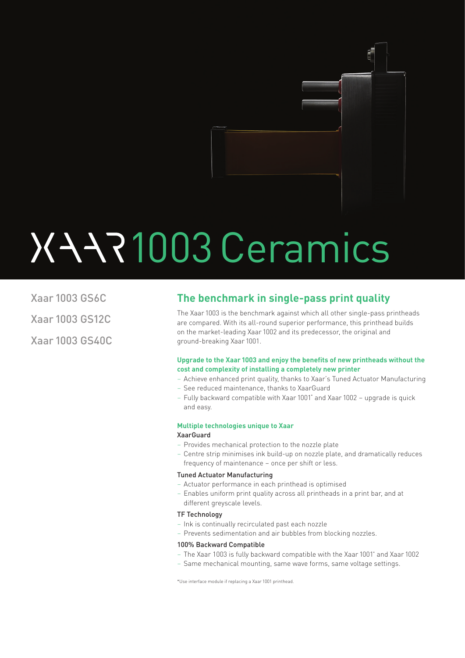

# 1003 Ceramics

Xaar 1003 GS6C Xaar 1003 GS12C Xaar 1003 GS40C

### **The benchmark in single-pass print quality**

The Xaar 1003 is the benchmark against which all other single-pass printheads are compared. With its all-round superior performance, this printhead builds on the market-leading Xaar 1002 and its predecessor, the original and ground-breaking Xaar 1001.

#### **Upgrade to the Xaar 1003 and enjoy the benefits of new printheads without the cost and complexity of installing a completely new printer**

- Achieve enhanced print quality, thanks to Xaar's Tuned Actuator Manufacturing
- See reduced maintenance, thanks to XaarGuard
- Fully backward compatible with Xaar 1001\* and Xaar 1002 upgrade is quick and easy.

#### **Multiple technologies unique to Xaar**

#### XaarGuard

- Provides mechanical protection to the nozzle plate
- Centre strip minimises ink build-up on nozzle plate, and dramatically reduces frequency of maintenance – once per shift or less.

#### Tuned Actuator Manufacturing

- Actuator performance in each printhead is optimised
- Enables uniform print quality across all printheads in a print bar, and at different greyscale levels.

#### TF Technology

- Ink is continually recirculated past each nozzle
- Prevents sedimentation and air bubbles from blocking nozzles.

#### 100% Backward Compatible

- The Xaar 1003 is fully backward compatible with the Xaar 1001\* and Xaar 1002
- Same mechanical mounting, same wave forms, same voltage settings.

\*Use interface module if replacing a Xaar 1001 printhead.